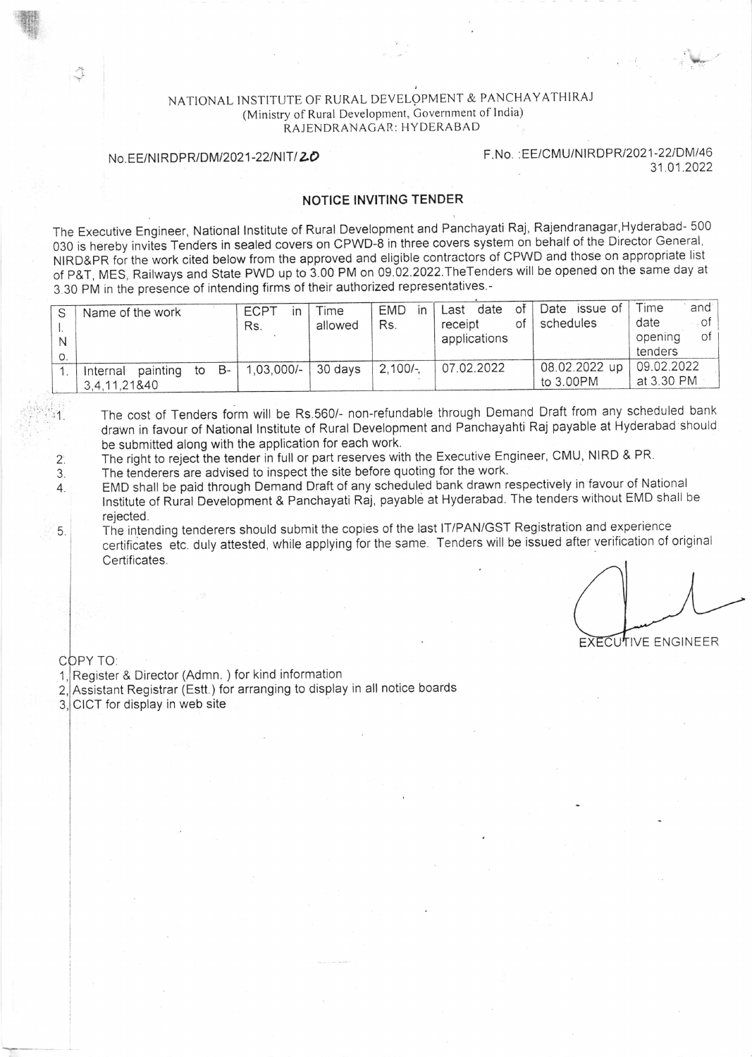## NATIONAL INSTITUTE OF RURAL DEVELOPMENT & PANCHAYATHIRAJ (Ministry of Rural Development, Government of India) RAJENDRANAGAR: HYDERABAD

No. EE/NIRDPR/DM/2021-22/NIT/20 F. No. : EE/CMU/NIRDPR/2021-22/DM/46 31.01.2022

## NOTICE INVITING TENDER

The Executive Engineer, National lnstitute of Rural Development and Panchayati Raj, Rajendranagar,Hyderabad- <sup>500</sup> 030 is hereby invites Tenders in sealed covers on CPWD-8 in three covers system on behalf of the Director General, NIRD&PR for the work cited below from the approved and eligible contractors of CPWD and those on appropriate list of p&T, MES, Raitways and State pWD up to S.0O PM on 09.o2.2o22.TheTenders will be opened on the same day at <sup>3</sup>30 pM in the presence of intending firms of their authorized representatives.-

|    | Name of the work                     | <b>ECPT</b><br>in  | Time    | <b>EMD</b><br>in | оf<br>date<br>Last | Date issue of              | and <sup>-</sup><br>Time |
|----|--------------------------------------|--------------------|---------|------------------|--------------------|----------------------------|--------------------------|
|    |                                      | Rs.                | allowed | Rs.              | receipt<br>Οt      | schedules                  | . of<br>date             |
| N  |                                      |                    |         |                  | applications       |                            | of<br>opening            |
| О. |                                      |                    |         |                  |                    |                            | tenders                  |
|    | . B- '<br>painting<br>to<br>Internal | 1,03,000/- 30 days |         | $12.100/-$       | 07.02.2022         | 08.02.2022 up   09.02.2022 |                          |
|    | 3,4,11,21&40                         |                    |         |                  |                    | to 3.00PM                  | at 3.30 PM               |

The cost of Tenders form will be Rs.560/- non-refundable through Demand Draft from any scheduled bank drawn in favour of National Institute of Rural Development and Panchayahti Raj payable at Hyderabad should be submitted along with the application for each work.

The right to reject the tender in full or part reserves with the Executive Engineer, CMU, NIRD & PR.

The tenderers are advised to inspect the site before quoting for the work.

4. EMD shall be paid through Demand Draft of any scheduled bank drawn respectively in favour of National Institute of Rural Development & Panchayati Raj, payable at Hyderabad. The tenders without EMD shall be rejected.

5. The intending tenderers should submit the copies of the last IT/PAN/GST Registration and experience certificates etc. duly attested, while applying for the same Tenders will be issued after verification of original Certificates.

**EXECUTIVE ENGINEER** 

COPY TO:

2.

3

乔

 $\mathbb{Z}^{n}$ ,  $\mathbb{Z}^{n}$ 

1, Register & Director (Admn. ) for kind information

- a L, Assistant Registrar (Estt.) for arranging to display in all notice boards
- 3,∣CICT for display in web site